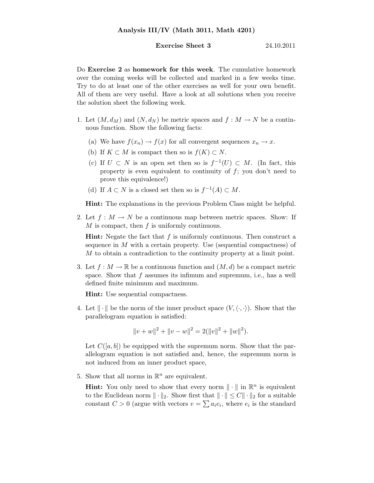## **Exercise Sheet 3** 24.10.2011

Do Exercise 2 as homework for this week. The cumulative homework over the coming weeks will be collected and marked in a few weeks time. Try to do at least one of the other exercises as well for your own benefit. All of them are very useful. Have a look at all solutions when you receive the solution sheet the following week.

- 1. Let  $(M, d_M)$  and  $(N, d_N)$  be metric spaces and  $f : M \to N$  be a continuous function. Show the following facts:
	- (a) We have  $f(x_n) \to f(x)$  for all convergent sequences  $x_n \to x$ .
	- (b) If  $K \subset M$  is compact then so is  $f(K) \subset N$ .
	- (c) If  $U \subset N$  is an open set then so is  $f^{-1}(U) \subset M$ . (In fact, this property is even equivalent to continuity of  $f$ ; you don't need to prove this equivalence!)
	- (d) If  $A \subset N$  is a closed set then so is  $f^{-1}(A) \subset M$ .

Hint: The explanations in the previous Problem Class might be helpful.

2. Let  $f: M \to N$  be a continuous map between metric spaces. Show: If  $M$  is compact, then  $f$  is uniformly continuous.

**Hint:** Negate the fact that  $f$  is uniformly continuous. Then construct a sequence in  $M$  with a certain property. Use (sequential compactness) of M to obtain a contradiction to the continuity property at a limit point.

3. Let  $f: M \to \mathbb{R}$  be a continuous function and  $(M, d)$  be a compact metric space. Show that  $f$  assumes its infimum and supremum, i.e., has a well defined finite minimum and maximum.

Hint: Use sequential compactness.

4. Let  $\|\cdot\|$  be the norm of the inner product space  $(V,\langle\cdot,\cdot\rangle)$ . Show that the parallelogram equation is satisfied:

$$
||v + w||2 + ||v - w||2 = 2(||v||2 + ||w||2).
$$

Let  $C([a, b])$  be equipped with the supremum norm. Show that the parallelogram equation is not satisfied and, hence, the supremum norm is not induced from an inner product space,

5. Show that all norms in  $\mathbb{R}^n$  are equivalent.

**Hint:** You only need to show that every norm  $\|\cdot\|$  in  $\mathbb{R}^n$  is equivalent to the Euclidean norm  $\|\cdot\|_2$ . Show first that  $\|\cdot\| \leq C \|\cdot\|_2$  for a suitable constant  $C > 0$  (argue with vectors  $v = \sum a_i e_i$ , where  $e_i$  is the standard